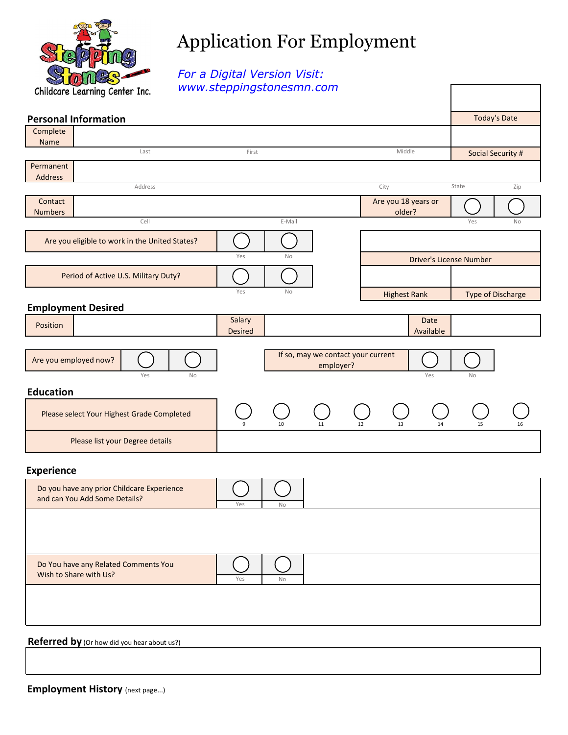

## Application For Employment

 $\Gamma$ 

*For a Digital Version Visit: www.steppingstonesmn.com*

| <b>Personal Information</b>                                                 |                          |           |                                                 |                     |                   |                                | <b>Today's Date</b> |
|-----------------------------------------------------------------------------|--------------------------|-----------|-------------------------------------------------|---------------------|-------------------|--------------------------------|---------------------|
| Complete                                                                    |                          |           |                                                 |                     |                   |                                |                     |
| Name<br>Last                                                                | First                    |           |                                                 |                     |                   | Social Security #              |                     |
| Permanent                                                                   |                          |           |                                                 |                     |                   |                                |                     |
| Address<br>Address                                                          |                          |           |                                                 | City                |                   | State                          | Zip                 |
| Contact                                                                     |                          |           |                                                 | Are you 18 years or |                   |                                |                     |
| <b>Numbers</b><br>Cell                                                      |                          | E-Mail    |                                                 | older?              |                   | Yes                            | No                  |
| Are you eligible to work in the United States?                              |                          |           |                                                 |                     |                   |                                |                     |
|                                                                             | Yes                      | No        |                                                 |                     |                   | <b>Driver's License Number</b> |                     |
| Period of Active U.S. Military Duty?                                        |                          |           |                                                 |                     |                   |                                |                     |
|                                                                             | Yes                      | <b>No</b> |                                                 | <b>Highest Rank</b> |                   |                                | Type of Discharge   |
| <b>Employment Desired</b>                                                   |                          |           |                                                 |                     |                   |                                |                     |
| Position                                                                    | Salary<br><b>Desired</b> |           |                                                 |                     | Date<br>Available |                                |                     |
| Are you employed now?                                                       |                          |           | If so, may we contact your current<br>employer? |                     |                   |                                |                     |
| Yes<br><b>No</b>                                                            |                          |           |                                                 |                     | Yes               | <b>No</b>                      |                     |
| <b>Education</b>                                                            |                          |           |                                                 |                     |                   |                                |                     |
| Please select Your Highest Grade Completed                                  |                          | 10        | 11                                              | 12<br>13            | 14                | 15                             | 16                  |
| Please list your Degree details                                             |                          |           |                                                 |                     |                   |                                |                     |
| <b>Experience</b>                                                           |                          |           |                                                 |                     |                   |                                |                     |
| Do you have any prior Childcare Experience<br>and can You Add Some Details? | Yes                      | No        |                                                 |                     |                   |                                |                     |
|                                                                             |                          |           |                                                 |                     |                   |                                |                     |
|                                                                             |                          |           |                                                 |                     |                   |                                |                     |
| Do You have any Related Comments You<br>Wish to Share with Us?              | Yes                      | No        |                                                 |                     |                   |                                |                     |
|                                                                             |                          |           |                                                 |                     |                   |                                |                     |
|                                                                             |                          |           |                                                 |                     |                   |                                |                     |
| Referred by (Or how did you hear about us?)                                 |                          |           |                                                 |                     |                   |                                |                     |